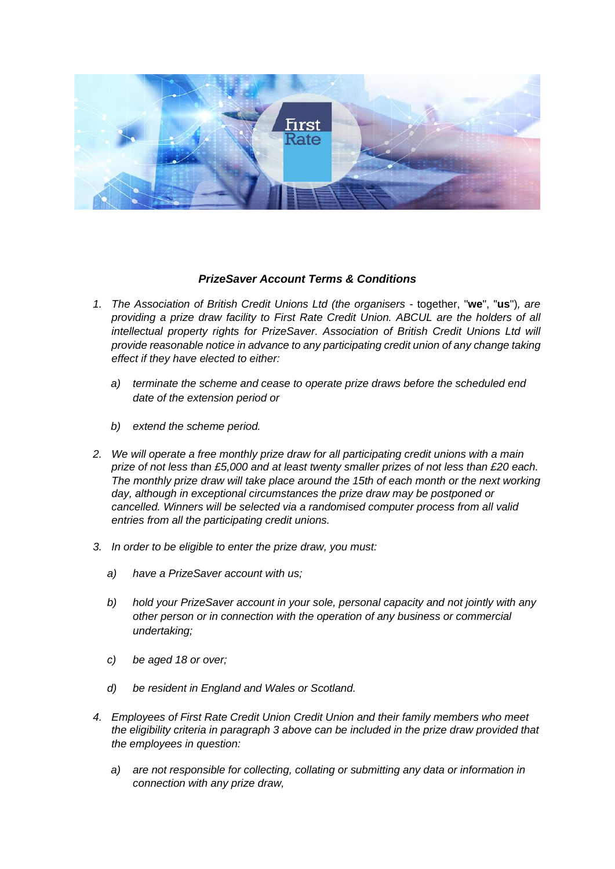

## *PrizeSaver Account Terms & Conditions*

- *1. The Association of British Credit Unions Ltd (the organisers*  together, "**we**", "**us**")*, are providing a prize draw facility to First Rate Credit Union. ABCUL are the holders of all intellectual property rights for PrizeSaver. Association of British Credit Unions Ltd will provide reasonable notice in advance to any participating credit union of any change taking effect if they have elected to either:*
	- *a) terminate the scheme and cease to operate prize draws before the scheduled end date of the extension period or*
	- *b) extend the scheme period.*
- *2. We will operate a free monthly prize draw for all participating credit unions with a main prize of not less than £5,000 and at least twenty smaller prizes of not less than £20 each. The monthly prize draw will take place around the 15th of each month or the next working day, although in exceptional circumstances the prize draw may be postponed or cancelled. Winners will be selected via a randomised computer process from all valid entries from all the participating credit unions.*
- *3. In order to be eligible to enter the prize draw, you must:*
	- *a) have a PrizeSaver account with us;*
	- *b) hold your PrizeSaver account in your sole, personal capacity and not jointly with any other person or in connection with the operation of any business or commercial undertaking;*
	- *c) be aged 18 or over;*
	- *d) be resident in England and Wales or Scotland.*
- *4. Employees of First Rate Credit Union Credit Union and their family members who meet the eligibility criteria in paragraph 3 above can be included in the prize draw provided that the employees in question:*
	- *a) are not responsible for collecting, collating or submitting any data or information in connection with any prize draw,*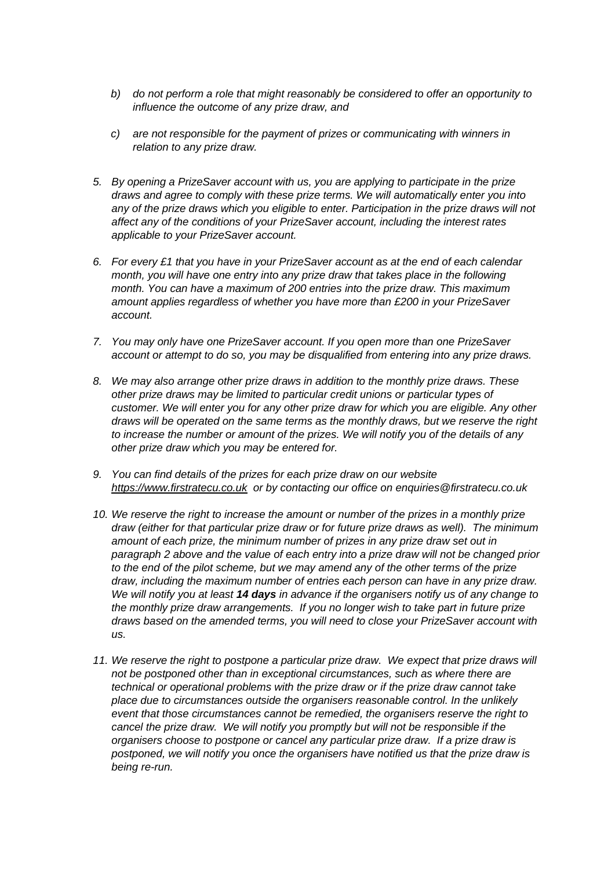- *b) do not perform a role that might reasonably be considered to offer an opportunity to influence the outcome of any prize draw, and*
- *c) are not responsible for the payment of prizes or communicating with winners in relation to any prize draw.*
- *5. By opening a PrizeSaver account with us, you are applying to participate in the prize draws and agree to comply with these prize terms. We will automatically enter you into any of the prize draws which you eligible to enter. Participation in the prize draws will not affect any of the conditions of your PrizeSaver account, including the interest rates applicable to your PrizeSaver account.*
- *6. For every £1 that you have in your PrizeSaver account as at the end of each calendar month, you will have one entry into any prize draw that takes place in the following month. You can have a maximum of 200 entries into the prize draw. This maximum amount applies regardless of whether you have more than £200 in your PrizeSaver account.*
- *7. You may only have one PrizeSaver account. If you open more than one PrizeSaver account or attempt to do so, you may be disqualified from entering into any prize draws.*
- *8. We may also arrange other prize draws in addition to the monthly prize draws. These other prize draws may be limited to particular credit unions or particular types of customer. We will enter you for any other prize draw for which you are eligible. Any other draws will be operated on the same terms as the monthly draws, but we reserve the right to increase the number or amount of the prizes. We will notify you of the details of any other prize draw which you may be entered for.*
- *9. You can find details of the prizes for each prize draw on our website [https://www.firstratecu.co.uk](https://www.firstratecu.co.uk/) or by contacting our office on enquiries@firstratecu.co.uk*
- *10. We reserve the right to increase the amount or number of the prizes in a monthly prize draw (either for that particular prize draw or for future prize draws as well). The minimum amount of each prize, the minimum number of prizes in any prize draw set out in paragraph 2 above and the value of each entry into a prize draw will not be changed prior to the end of the pilot scheme, but we may amend any of the other terms of the prize draw, including the maximum number of entries each person can have in any prize draw. We will notify you at least 14 days in advance if the organisers notify us of any change to the monthly prize draw arrangements. If you no longer wish to take part in future prize draws based on the amended terms, you will need to close your PrizeSaver account with us.*
- 11. We reserve the right to postpone a particular prize draw. We expect that prize draws will *not be postponed other than in exceptional circumstances, such as where there are technical or operational problems with the prize draw or if the prize draw cannot take place due to circumstances outside the organisers reasonable control. In the unlikely event that those circumstances cannot be remedied, the organisers reserve the right to cancel the prize draw. We will notify you promptly but will not be responsible if the organisers choose to postpone or cancel any particular prize draw. If a prize draw is postponed, we will notify you once the organisers have notified us that the prize draw is being re-run.*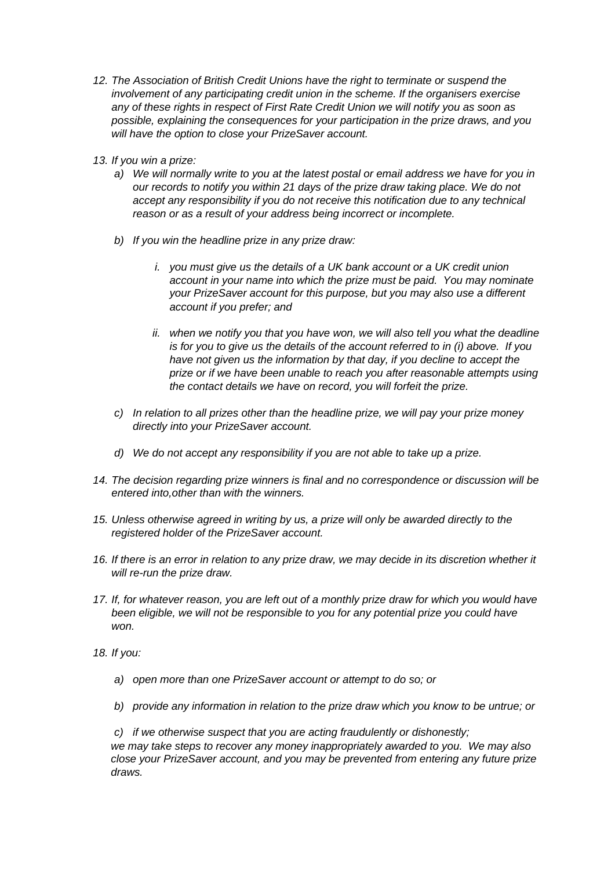- *12. The Association of British Credit Unions have the right to terminate or suspend the involvement of any participating credit union in the scheme. If the organisers exercise any of these rights in respect of First Rate Credit Union we will notify you as soon as possible, explaining the consequences for your participation in the prize draws, and you will have the option to close your PrizeSaver account.*
- *13. If you win a prize:*
	- *a) We will normally write to you at the latest postal or email address we have for you in our records to notify you within 21 days of the prize draw taking place. We do not accept any responsibility if you do not receive this notification due to any technical reason or as a result of your address being incorrect or incomplete.*
	- *b) If you win the headline prize in any prize draw:*
		- *i. you must give us the details of a UK bank account or a UK credit union account in your name into which the prize must be paid. You may nominate your PrizeSaver account for this purpose, but you may also use a different account if you prefer; and*
		- *ii. when we notify you that you have won, we will also tell you what the deadline is for you to give us the details of the account referred to in (i) above. If you have not given us the information by that day, if you decline to accept the prize or if we have been unable to reach you after reasonable attempts using the contact details we have on record, you will forfeit the prize.*
	- *c) In relation to all prizes other than the headline prize, we will pay your prize money directly into your PrizeSaver account.*
	- *d) We do not accept any responsibility if you are not able to take up a prize.*
- *14. The decision regarding prize winners is final and no correspondence or discussion will be entered into,other than with the winners.*
- *15. Unless otherwise agreed in writing by us, a prize will only be awarded directly to the registered holder of the PrizeSaver account.*
- *16. If there is an error in relation to any prize draw, we may decide in its discretion whether it will re-run the prize draw.*
- *17. If, for whatever reason, you are left out of a monthly prize draw for which you would have been eligible, we will not be responsible to you for any potential prize you could have won.*
- *18. If you:*
	- *a) open more than one PrizeSaver account or attempt to do so; or*
	- *b) provide any information in relation to the prize draw which you know to be untrue; or*

*c) if we otherwise suspect that you are acting fraudulently or dishonestly; we may take steps to recover any money inappropriately awarded to you. We may also close your PrizeSaver account, and you may be prevented from entering any future prize draws.*